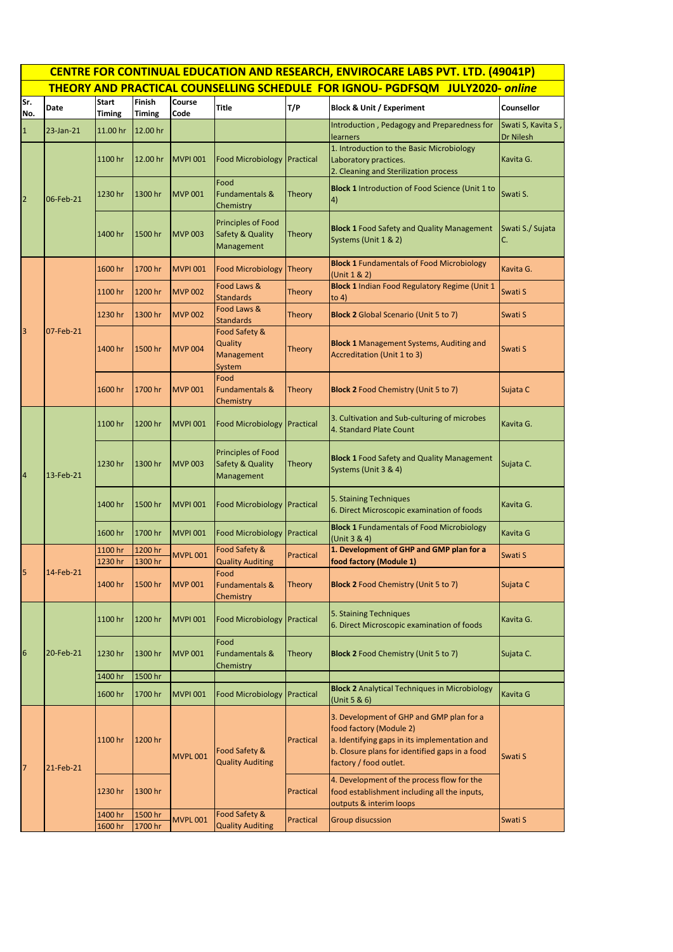|                 | <b>CENTRE FOR CONTINUAL EDUCATION AND RESEARCH, ENVIROCARE LABS PVT. LTD. (49041P)</b> |                               |                         |                 |                                                                        |                  |                                                                                                                                                                                                  |                                 |  |  |  |
|-----------------|----------------------------------------------------------------------------------------|-------------------------------|-------------------------|-----------------|------------------------------------------------------------------------|------------------|--------------------------------------------------------------------------------------------------------------------------------------------------------------------------------------------------|---------------------------------|--|--|--|
|                 | THEORY AND PRACTICAL COUNSELLING SCHEDULE FOR IGNOU- PGDFSQM JULY2020- online          |                               |                         |                 |                                                                        |                  |                                                                                                                                                                                                  |                                 |  |  |  |
| Sr.<br>No.      | Date                                                                                   | <b>Start</b><br><b>Timing</b> | Finish<br><b>Timing</b> | Course<br>Code  | Title                                                                  | T/P              | <b>Block &amp; Unit / Experiment</b>                                                                                                                                                             | Counsellor                      |  |  |  |
| $\mathbf{1}$    | 23-Jan-21                                                                              | 11.00 hr                      | 12.00 hr                |                 |                                                                        |                  | Introduction, Pedagogy and Preparedness for<br>learners                                                                                                                                          | Swati S, Kavita S,<br>Dr Nilesh |  |  |  |
| $\overline{2}$  | 06-Feb-21                                                                              | 1100 hr                       | 12.00 hr                | <b>MVPI 001</b> | <b>Food Microbiology</b>                                               | Practical        | 1. Introduction to the Basic Microbiology<br>Laboratory practices.<br>2. Cleaning and Sterilization process                                                                                      | Kavita G.                       |  |  |  |
|                 |                                                                                        | 1230 hr                       | 1300 hr                 | <b>MVP 001</b>  | Food<br><b>Fundamentals &amp;</b><br>Chemistry                         | Theory           | <b>Block 1 Introduction of Food Science (Unit 1 to</b><br>4)                                                                                                                                     | Swati S.                        |  |  |  |
|                 |                                                                                        | 1400 hr                       | 1500 hr                 | <b>MVP 003</b>  | <b>Principles of Food</b><br><b>Safety &amp; Quality</b><br>Management | Theory           | <b>Block 1 Food Safety and Quality Management</b><br>Systems (Unit 1 & 2)                                                                                                                        | Swati S./ Sujata<br>C.          |  |  |  |
|                 |                                                                                        | 1600 hr                       | 1700 hr                 | <b>MVPI 001</b> | <b>Food Microbiology</b>                                               | Theory           | <b>Block 1 Fundamentals of Food Microbiology</b><br>(Unit 1 & 2)                                                                                                                                 | Kavita G.                       |  |  |  |
|                 |                                                                                        | 1100 hr                       | 1200 hr                 | <b>MVP 002</b>  | Food Laws &<br><b>Standards</b>                                        | <b>Theory</b>    | <b>Block 1 Indian Food Regulatory Regime (Unit 1</b><br>to $4)$                                                                                                                                  | Swati S                         |  |  |  |
|                 |                                                                                        | 1230 hr                       | 1300 hr                 | <b>MVP 002</b>  | Food Laws &<br><b>Standards</b>                                        | <b>Theory</b>    | <b>Block 2</b> Global Scenario (Unit 5 to 7)                                                                                                                                                     | Swati S                         |  |  |  |
| 3               | 07-Feb-21                                                                              | 1400 hr                       | 1500 hr                 | <b>MVP 004</b>  | Food Safety &<br>Quality<br>Management<br>System                       | <b>Theory</b>    | <b>Block 1 Management Systems, Auditing and</b><br>Accreditation (Unit 1 to 3)                                                                                                                   | Swati S                         |  |  |  |
|                 |                                                                                        | 1600 hr                       | 1700 hr                 | <b>MVP 001</b>  | Food<br><b>Fundamentals &amp;</b><br>Chemistry                         | <b>Theory</b>    | <b>Block 2 Food Chemistry (Unit 5 to 7)</b>                                                                                                                                                      | Sujata C                        |  |  |  |
|                 | 13-Feb-21                                                                              | 1100 hr                       | 1200 hr                 | <b>MVPI 001</b> | <b>Food Microbiology</b>                                               | Practical        | 3. Cultivation and Sub-culturing of microbes<br>4. Standard Plate Count                                                                                                                          | Kavita G.                       |  |  |  |
| $\overline{4}$  |                                                                                        | 1230 hr                       | 1300 hr                 | <b>MVP 003</b>  | <b>Principles of Food</b><br><b>Safety &amp; Quality</b><br>Management | <b>Theory</b>    | <b>Block 1 Food Safety and Quality Management</b><br>Systems (Unit 3 & 4)                                                                                                                        | Sujata C.                       |  |  |  |
|                 |                                                                                        | 1400 hr                       | 1500 hr                 | <b>MVPI 001</b> | <b>Food Microbiology</b>                                               | Practical        | 5. Staining Techniques<br>6. Direct Microscopic examination of foods                                                                                                                             | Kavita G.                       |  |  |  |
|                 |                                                                                        | 1600 hr                       | 1700 hr                 | <b>MVPI 001</b> | <b>Food Microbiology</b>                                               | Practical        | <b>Block 1 Fundamentals of Food Microbiology</b><br>(Unit 3 & 4)                                                                                                                                 | Kavita G                        |  |  |  |
|                 |                                                                                        | 1100 hr                       | 1200 hr                 | <b>MVPL 001</b> | Food Safety &                                                          | <b>Practical</b> | 1. Development of GHP and GMP plan for a                                                                                                                                                         | Swati S                         |  |  |  |
| 5               | 14-Feb-21                                                                              | 1230 hr                       | 1300 hr                 |                 | <b>Quality Auditing</b><br>Food                                        |                  | food factory (Module 1)                                                                                                                                                                          |                                 |  |  |  |
|                 |                                                                                        | 1400 hr                       | 1500 hr                 | <b>MVP 001</b>  | <b>Fundamentals &amp;</b><br>Chemistry                                 | <b>Theory</b>    | <b>Block 2 Food Chemistry (Unit 5 to 7)</b>                                                                                                                                                      | Sujata C                        |  |  |  |
|                 | 20-Feb-21                                                                              | 1100 hr                       | 1200 hr                 | <b>MVPI 001</b> | <b>Food Microbiology</b>                                               | Practical        | 5. Staining Techniques<br>6. Direct Microscopic examination of foods                                                                                                                             | Kavita G.                       |  |  |  |
| $6\phantom{.}6$ |                                                                                        | 1230 hr                       | 1300 hr                 | <b>MVP 001</b>  | Food<br><b>Fundamentals &amp;</b><br>Chemistry                         | Theory           | <b>Block 2</b> Food Chemistry (Unit 5 to 7)                                                                                                                                                      | Sujata C.                       |  |  |  |
|                 |                                                                                        | 1400 hr                       | 1500 hr                 |                 |                                                                        |                  |                                                                                                                                                                                                  |                                 |  |  |  |
|                 |                                                                                        | 1600 hr                       | 1700 hr                 | <b>MVPI 001</b> | <b>Food Microbiology</b>                                               | Practical        | <b>Block 2</b> Analytical Techniques in Microbiology<br>(Unit 5 & 6)                                                                                                                             | Kavita G                        |  |  |  |
| $\overline{7}$  | 21-Feb-21                                                                              | 1100 hr                       | 1200 hr                 | <b>MVPL001</b>  | Food Safety &<br><b>Quality Auditing</b>                               | Practical        | 3. Development of GHP and GMP plan for a<br>food factory (Module 2)<br>a. Identifying gaps in its implementation and<br>b. Closure plans for identified gaps in a food<br>factory / food outlet. | Swati S                         |  |  |  |
|                 |                                                                                        | 1230 hr                       | 1300 hr                 |                 |                                                                        | Practical        | 4. Development of the process flow for the<br>food establishment including all the inputs,<br>outputs & interim loops                                                                            |                                 |  |  |  |
|                 |                                                                                        | 1400 hr                       | 1500 hr                 | <b>MVPL 001</b> | Food Safety &                                                          | Practical        | Group disucssion                                                                                                                                                                                 | Swati S                         |  |  |  |
|                 |                                                                                        | 1600 hr                       | 1700 hr                 |                 | <b>Quality Auditing</b>                                                |                  |                                                                                                                                                                                                  |                                 |  |  |  |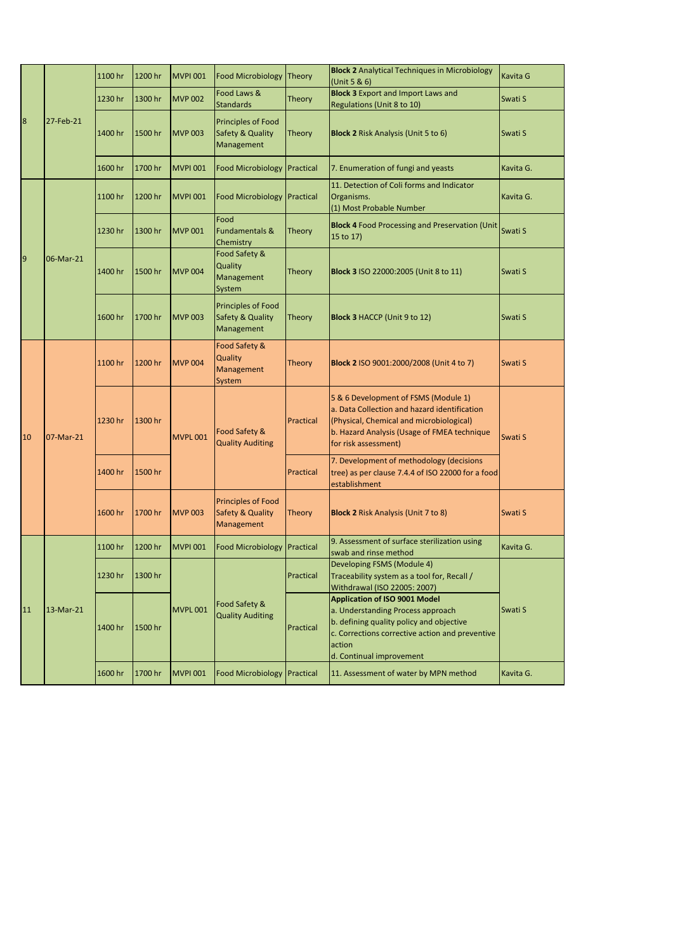| $\overline{\mathbf{8}}$ |                |           | 1100 hr                                                                          | 1200 hr   | <b>MVPI 001</b>                                                                                                                                                                                                | <b>Food Microbiology</b>                                               | Theory        | <b>Block 2 Analytical Techniques in Microbiology</b><br>(Unit 5 & 6)                                                                                                                                    | Kavita G  |
|-------------------------|----------------|-----------|----------------------------------------------------------------------------------|-----------|----------------------------------------------------------------------------------------------------------------------------------------------------------------------------------------------------------------|------------------------------------------------------------------------|---------------|---------------------------------------------------------------------------------------------------------------------------------------------------------------------------------------------------------|-----------|
|                         |                | 27-Feb-21 | 1230 hr                                                                          | 1300 hr   | <b>MVP 002</b>                                                                                                                                                                                                 | Food Laws &<br><b>Standards</b>                                        | Theory        | <b>Block 3</b> Export and Import Laws and<br>Regulations (Unit 8 to 10)                                                                                                                                 | Swati S   |
|                         |                |           | 1400 hr                                                                          | 1500 hr   | <b>MVP 003</b>                                                                                                                                                                                                 | <b>Principles of Food</b><br><b>Safety &amp; Quality</b><br>Management | <b>Theory</b> | <b>Block 2</b> Risk Analysis (Unit 5 to 6)                                                                                                                                                              | Swati S   |
|                         |                |           | 1600 hr                                                                          | 1700 hr   | <b>MVPI 001</b>                                                                                                                                                                                                | <b>Food Microbiology</b>                                               | Practical     | 7. Enumeration of fungi and yeasts                                                                                                                                                                      | Kavita G. |
|                         |                |           | 1100 hr                                                                          | 1200 hr   | <b>MVPI 001</b>                                                                                                                                                                                                | Food Microbiology Practical                                            |               | 11. Detection of Coli forms and Indicator<br>Organisms.<br>(1) Most Probable Number                                                                                                                     | Kavita G. |
|                         |                |           | 1230 hr                                                                          | 1300 hr   | <b>MVP 001</b>                                                                                                                                                                                                 | Food<br><b>Fundamentals &amp;</b><br>Chemistry                         | Theory        | <b>Block 4 Food Processing and Preservation (Unit Swati S)</b><br>15 to 17)                                                                                                                             |           |
|                         | $\overline{9}$ | 06-Mar-21 | 1400 hr                                                                          | 1500 hr   | <b>MVP 004</b>                                                                                                                                                                                                 | Food Safety &<br>Quality<br>Management<br>System                       | Theory        | <b>Block 3 ISO 22000:2005 (Unit 8 to 11)</b>                                                                                                                                                            | Swati S   |
|                         |                |           | 1600 hr                                                                          | 1700 hr   | <b>MVP 003</b>                                                                                                                                                                                                 | <b>Principles of Food</b><br><b>Safety &amp; Quality</b><br>Management | <b>Theory</b> | <b>Block 3 HACCP (Unit 9 to 12)</b>                                                                                                                                                                     | Swati S   |
|                         |                |           | 1100 hr                                                                          | 1200 hr   | <b>MVP 004</b>                                                                                                                                                                                                 | Food Safety &<br><b>Quality</b><br>Management<br>System                | <b>Theory</b> | Block 2 ISO 9001:2000/2008 (Unit 4 to 7)                                                                                                                                                                | Swati S   |
| 10                      |                | 07-Mar-21 | 1230 hr                                                                          | 1300 hr   | <b>MVPL 001</b>                                                                                                                                                                                                | Food Safety &<br><b>Quality Auditing</b>                               | Practical     | 5 & 6 Development of FSMS (Module 1)<br>a. Data Collection and hazard identification<br>(Physical, Chemical and microbiological)<br>b. Hazard Analysis (Usage of FMEA technique<br>for risk assessment) | Swati S   |
|                         |                |           | 1400 hr                                                                          | 1500 hr   |                                                                                                                                                                                                                |                                                                        | Practical     | 7. Development of methodology (decisions<br>tree) as per clause 7.4.4 of ISO 22000 for a food<br>establishment                                                                                          |           |
|                         |                |           | 1600 hr                                                                          | 1700 hr   | <b>MVP 003</b>                                                                                                                                                                                                 | <b>Principles of Food</b><br><b>Safety &amp; Quality</b><br>Management | <b>Theory</b> | <b>Block 2 Risk Analysis (Unit 7 to 8)</b>                                                                                                                                                              | Swati S   |
|                         |                |           | 1100 hr                                                                          | 1200 hr   | <b>MVPI 001</b>                                                                                                                                                                                                | <b>Food Microbiology</b>                                               | Practical     | 9. Assessment of surface sterilization using<br>swab and rinse method                                                                                                                                   | Kavita G. |
| 11                      |                | 13-Mar-21 | 1230 hr                                                                          | 1300 hr   |                                                                                                                                                                                                                |                                                                        | Practical     | Developing FSMS (Module 4)<br>Traceability system as a tool for, Recall /<br>Withdrawal (ISO 22005: 2007)                                                                                               |           |
|                         |                |           | Food Safety &<br><b>MVPL001</b><br><b>Quality Auditing</b><br>1400 hr<br>1500 hr | Practical | <b>Application of ISO 9001 Model</b><br>a. Understanding Process approach<br>b. defining quality policy and objective<br>c. Corrections corrective action and preventive<br>action<br>d. Continual improvement | Swati S                                                                |               |                                                                                                                                                                                                         |           |
|                         |                |           | 1600 hr                                                                          | 1700 hr   | <b>MVPI 001</b>                                                                                                                                                                                                | Food Microbiology Practical                                            |               | 11. Assessment of water by MPN method                                                                                                                                                                   | Kavita G. |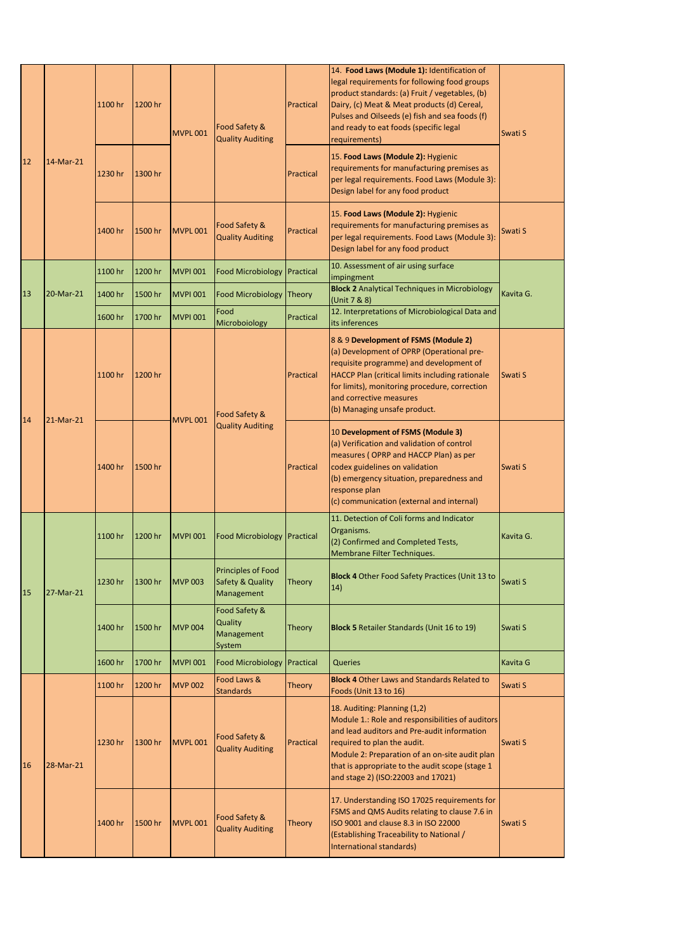| 12 |    | 14-Mar-21 | 1100 hr | 1200 hr | <b>MVPL001</b>  | Food Safety &<br><b>Quality Auditing</b>                               | Practical        | 14. Food Laws (Module 1): Identification of<br>legal requirements for following food groups<br>product standards: (a) Fruit / vegetables, (b)<br>Dairy, (c) Meat & Meat products (d) Cereal,<br>Pulses and Oilseeds (e) fish and sea foods (f)<br>and ready to eat foods (specific legal<br>requirements) | Swati S   |
|----|----|-----------|---------|---------|-----------------|------------------------------------------------------------------------|------------------|-----------------------------------------------------------------------------------------------------------------------------------------------------------------------------------------------------------------------------------------------------------------------------------------------------------|-----------|
|    |    |           | 1230 hr | 1300 hr |                 |                                                                        | Practical        | 15. Food Laws (Module 2): Hygienic<br>requirements for manufacturing premises as<br>per legal requirements. Food Laws (Module 3):<br>Design label for any food product                                                                                                                                    |           |
|    |    |           | 1400 hr | 1500 hr | <b>MVPL001</b>  | Food Safety &<br><b>Quality Auditing</b>                               | Practical        | 15. Food Laws (Module 2): Hygienic<br>requirements for manufacturing premises as<br>per legal requirements. Food Laws (Module 3):<br>Design label for any food product                                                                                                                                    | Swati S   |
|    |    |           | 1100 hr | 1200 hr | <b>MVPI 001</b> | <b>Food Microbiology Practical</b>                                     |                  | 10. Assessment of air using surface<br>impingment                                                                                                                                                                                                                                                         |           |
|    | 13 | 20-Mar-21 | 1400 hr | 1500 hr | <b>MVPI 001</b> | Food Microbiology Theory                                               |                  | <b>Block 2 Analytical Techniques in Microbiology</b><br>(Unit 7 & 8)                                                                                                                                                                                                                                      | Kavita G. |
|    |    |           | 1600 hr | 1700 hr | <b>MVPI 001</b> | Food<br>Microboiology                                                  | Practical        | 12. Interpretations of Microbiological Data and<br>its inferences                                                                                                                                                                                                                                         |           |
|    |    | 21-Mar-21 | 1100 hr | 1200 hr | <b>MVPL 001</b> | Food Safety &<br><b>Quality Auditing</b>                               | Practical        | 8 & 9 Development of FSMS (Module 2)<br>(a) Development of OPRP (Operational pre-<br>requisite programme) and development of<br>HACCP Plan (critical limits including rationale<br>for limits), monitoring procedure, correction<br>and corrective measures<br>(b) Managing unsafe product.               | Swati S   |
|    | 14 |           | 1400 hr | 1500 hr |                 |                                                                        | <b>Practical</b> | 10 Development of FSMS (Module 3)<br>(a) Verification and validation of control<br>measures (OPRP and HACCP Plan) as per<br>codex guidelines on validation<br>(b) emergency situation, preparedness and<br>response plan<br>(c) communication (external and internal)                                     | Swati S   |
|    |    | 27-Mar-21 | 1100 hr | 1200 hr | <b>MVPI 001</b> | <b>Food Microbiology</b>                                               | Practical        | 11. Detection of Coli forms and Indicator<br>Organisms.<br>(2) Confirmed and Completed Tests,<br>Membrane Filter Techniques.                                                                                                                                                                              | Kavita G. |
|    | 15 |           | 1230 hr | 1300 hr | <b>MVP 003</b>  | <b>Principles of Food</b><br><b>Safety &amp; Quality</b><br>Management | Theory           | <b>Block 4 Other Food Safety Practices (Unit 13 to</b><br>14)                                                                                                                                                                                                                                             | Swati S   |
|    |    |           | 1400 hr | 1500 hr | <b>MVP 004</b>  | Food Safety &<br><b>Quality</b><br>Management<br>System                | <b>Theory</b>    | <b>Block 5 Retailer Standards (Unit 16 to 19)</b>                                                                                                                                                                                                                                                         | Swati S   |
|    |    |           | 1600 hr | 1700 hr | <b>MVPI 001</b> | <b>Food Microbiology</b>                                               | Practical        | <b>Queries</b>                                                                                                                                                                                                                                                                                            | Kavita G  |
|    |    |           | 1100 hr | 1200 hr | <b>MVP 002</b>  | Food Laws &<br><b>Standards</b>                                        | Theory           | <b>Block 4 Other Laws and Standards Related to</b><br>Foods (Unit 13 to 16)                                                                                                                                                                                                                               | Swati S   |
| 16 |    | 28-Mar-21 | 1230 hr | 1300 hr | <b>MVPL 001</b> | Food Safety &<br><b>Quality Auditing</b>                               | Practical        | 18. Auditing: Planning (1,2)<br>Module 1.: Role and responsibilities of auditors<br>and lead auditors and Pre-audit information<br>required to plan the audit.<br>Module 2: Preparation of an on-site audit plan<br>that is appropriate to the audit scope (stage 1<br>and stage 2) (ISO:22003 and 17021) | Swati S   |
|    |    |           | 1400 hr | 1500 hr | <b>MVPL 001</b> | Food Safety &<br><b>Quality Auditing</b>                               | Theory           | 17. Understanding ISO 17025 requirements for<br>FSMS and QMS Audits relating to clause 7.6 in<br>ISO 9001 and clause 8.3 in ISO 22000<br>(Establishing Traceability to National /<br>International standards)                                                                                             | Swati S   |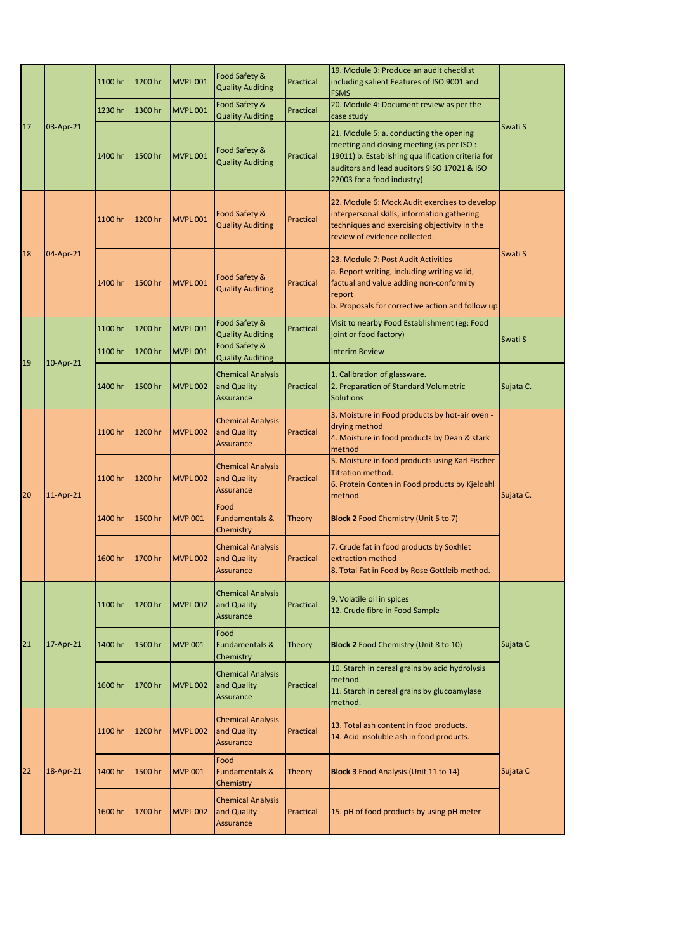| 17 | 03-Apr-21 | 1100 hr | 1200 hr | MVPL <sub>001</sub> | Food Safety &<br><b>Quality Auditing</b>                    | Practical     | 19. Module 3: Produce an audit checklist<br>including salient Features of ISO 9001 and<br><b>FSMS</b>                                                                                                                  |           |
|----|-----------|---------|---------|---------------------|-------------------------------------------------------------|---------------|------------------------------------------------------------------------------------------------------------------------------------------------------------------------------------------------------------------------|-----------|
|    |           | 1230 hr | 1300 hr | <b>MVPL001</b>      | Food Safety &<br><b>Quality Auditing</b>                    | Practical     | 20. Module 4: Document review as per the<br>case study                                                                                                                                                                 |           |
|    |           | 1400 hr | 1500 hr | MVPL <sub>001</sub> | Food Safety &<br><b>Quality Auditing</b>                    | Practical     | 21. Module 5: a. conducting the opening<br>meeting and closing meeting (as per ISO :<br>19011) b. Establishing qualification criteria for<br>auditors and lead auditors 9ISO 17021 & ISO<br>22003 for a food industry) | Swati S   |
|    | 04-Apr-21 | 1100 hr | 1200 hr | <b>MVPL001</b>      | Food Safety &<br><b>Quality Auditing</b>                    | Practical     | 22. Module 6: Mock Audit exercises to develop<br>interpersonal skills, information gathering<br>techniques and exercising objectivity in the<br>review of evidence collected.                                          | Swati S   |
| 18 |           | 1400 hr | 1500 hr | <b>MVPL001</b>      | Food Safety &<br><b>Quality Auditing</b>                    | Practical     | 23. Module 7: Post Audit Activities<br>a. Report writing, including writing valid,<br>factual and value adding non-conformity<br>report<br>b. Proposals for corrective action and follow up                            |           |
|    |           | 1100 hr | 1200 hr | <b>MVPL001</b>      | Food Safety &<br><b>Quality Auditing</b>                    | Practical     | Visit to nearby Food Establishment (eg: Food<br>joint or food factory)                                                                                                                                                 |           |
|    |           | 1100 hr | 1200 hr | MVPL <sub>001</sub> | Food Safety &<br><b>Quality Auditing</b>                    |               | <b>Interim Review</b>                                                                                                                                                                                                  | Swati S   |
| 19 | 10-Apr-21 | 1400 hr | 1500 hr | MVPL <sub>002</sub> | <b>Chemical Analysis</b><br>and Quality<br>Assurance        | Practical     | 1. Calibration of glassware.<br>2. Preparation of Standard Volumetric<br><b>Solutions</b>                                                                                                                              | Sujata C. |
| 20 | 11-Apr-21 | 1100 hr | 1200 hr | <b>MVPL002</b>      | <b>Chemical Analysis</b><br>and Quality<br>Assurance        | Practical     | 3. Moisture in Food products by hot-air oven -<br>drying method<br>4. Moisture in food products by Dean & stark<br>method                                                                                              | Sujata C. |
|    |           | 1100 hr | 1200 hr | <b>MVPL002</b>      | <b>Chemical Analysis</b><br>and Quality<br>Assurance        | Practical     | 5. Moisture in food products using Karl Fischer<br>Titration method.<br>6. Protein Conten in Food products by Kjeldahl<br>method.                                                                                      |           |
|    |           | 1400 hr | 1500 hr | <b>MVP 001</b>      | Food<br><b>Fundamentals &amp;</b><br>Chemistry              | Theory        | <b>Block 2</b> Food Chemistry (Unit 5 to 7)                                                                                                                                                                            |           |
|    |           | 1600 hr | 1700 hr | <b>MVPL 002</b>     | <b>Chemical Analysis</b><br>and Quality<br><b>Assurance</b> | Practical     | 7. Crude fat in food products by Soxhlet<br>extraction method<br>8. Total Fat in Food by Rose Gottleib method.                                                                                                         |           |
|    | 17-Apr-21 | 1100 hr | 1200 hr | <b>MVPL 002</b>     | <b>Chemical Analysis</b><br>and Quality<br>Assurance        | Practical     | 9. Volatile oil in spices<br>12. Crude fibre in Food Sample                                                                                                                                                            |           |
| 21 |           | 1400 hr | 1500 hr | <b>MVP 001</b>      | Food<br><b>Fundamentals &amp;</b><br>Chemistry              | Theory        | <b>Block 2 Food Chemistry (Unit 8 to 10)</b>                                                                                                                                                                           | Sujata C  |
|    |           | 1600 hr | 1700 hr | <b>MVPL002</b>      | <b>Chemical Analysis</b><br>and Quality<br>Assurance        | Practical     | 10. Starch in cereal grains by acid hydrolysis<br>method.<br>11. Starch in cereal grains by glucoamylase<br>method.                                                                                                    |           |
| 22 | 18-Apr-21 | 1100 hr | 1200 hr | <b>MVPL002</b>      | <b>Chemical Analysis</b><br>and Quality<br>Assurance        | Practical     | 13. Total ash content in food products.<br>14. Acid insoluble ash in food products.                                                                                                                                    | Sujata C  |
|    |           | 1400 hr | 1500 hr | <b>MVP 001</b>      | Food<br><b>Fundamentals &amp;</b><br>Chemistry              | <b>Theory</b> | <b>Block 3 Food Analysis (Unit 11 to 14)</b>                                                                                                                                                                           |           |
|    |           | 1600 hr | 1700 hr | <b>MVPL002</b>      | <b>Chemical Analysis</b><br>and Quality<br>Assurance        | Practical     | 15. pH of food products by using pH meter                                                                                                                                                                              |           |